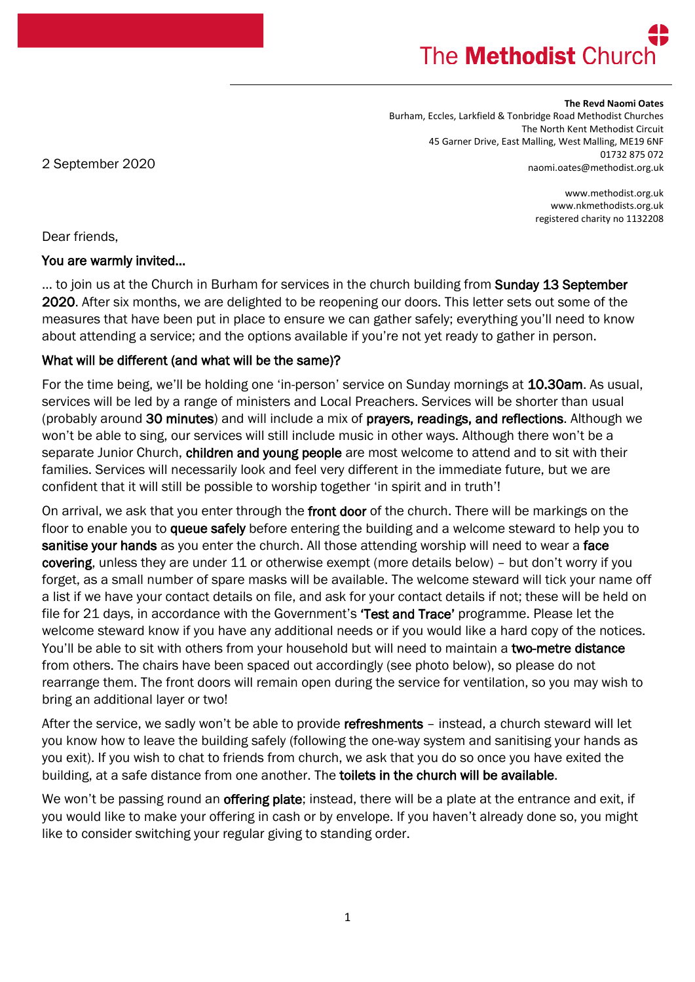# The **Methodist** Churd

#### **The Revd Naomi Oates**

Burham, Eccles, Larkfield & Tonbridge Road Methodist Churches The North Kent Methodist Circuit 45 Garner Drive, East Malling, West Malling, ME19 6NF 01732 875 072 naomi.oates@methodist.org.uk

2 September 2020

www.methodist.org.uk www.nkmethodists.org.uk registered charity no 1132208

Dear friends,

#### You are warmly invited…

... to join us at the Church in Burham for services in the church building from **Sunday 13 September** 2020. After six months, we are delighted to be reopening our doors. This letter sets out some of the measures that have been put in place to ensure we can gather safely; everything you'll need to know about attending a service; and the options available if you're not yet ready to gather in person.

### What will be different (and what will be the same)?

For the time being, we'll be holding one 'in-person' service on Sunday mornings at 10.30am. As usual, services will be led by a range of ministers and Local Preachers. Services will be shorter than usual (probably around 30 minutes) and will include a mix of prayers, readings, and reflections. Although we won't be able to sing, our services will still include music in other ways. Although there won't be a separate Junior Church, children and young people are most welcome to attend and to sit with their families. Services will necessarily look and feel very different in the immediate future, but we are confident that it will still be possible to worship together 'in spirit and in truth'!

On arrival, we ask that you enter through the front door of the church. There will be markings on the floor to enable you to queue safely before entering the building and a welcome steward to help you to sanitise your hands as you enter the church. All those attending worship will need to wear a face covering, unless they are under 11 or otherwise exempt (more details below) – but don't worry if you forget, as a small number of spare masks will be available. The welcome steward will tick your name off a list if we have your contact details on file, and ask for your contact details if not; these will be held on file for 21 days, in accordance with the Government's 'Test and Trace' programme. Please let the welcome steward know if you have any additional needs or if you would like a hard copy of the notices. You'll be able to sit with others from your household but will need to maintain a two-metre distance from others. The chairs have been spaced out accordingly (see photo below), so please do not rearrange them. The front doors will remain open during the service for ventilation, so you may wish to bring an additional layer or two!

After the service, we sadly won't be able to provide refreshments - instead, a church steward will let you know how to leave the building safely (following the one-way system and sanitising your hands as you exit). If you wish to chat to friends from church, we ask that you do so once you have exited the building, at a safe distance from one another. The toilets in the church will be available.

We won't be passing round an **offering plate**; instead, there will be a plate at the entrance and exit, if you would like to make your offering in cash or by envelope. If you haven't already done so, you might like to consider switching your regular giving to standing order.